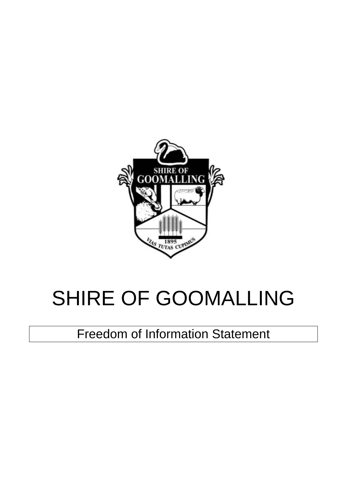

# SHIRE OF GOOMALLING

Freedom of Information Statement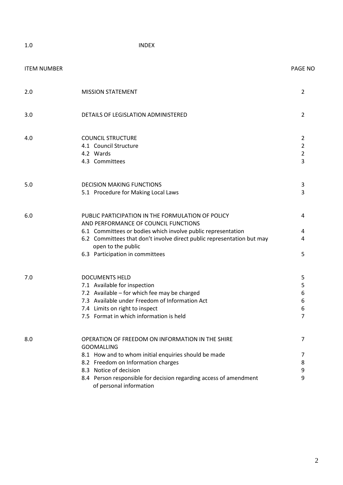1.0 INDEX

| <b>ITEM NUMBER</b> |                                                                                                                                                                                                                                                                                               | <b>PAGE NO</b>                                          |
|--------------------|-----------------------------------------------------------------------------------------------------------------------------------------------------------------------------------------------------------------------------------------------------------------------------------------------|---------------------------------------------------------|
| 2.0                | <b>MISSION STATEMENT</b>                                                                                                                                                                                                                                                                      | 2                                                       |
| 3.0                | DETAILS OF LEGISLATION ADMINISTERED                                                                                                                                                                                                                                                           | $\overline{2}$                                          |
| 4.0                | <b>COUNCIL STRUCTURE</b><br>4.1 Council Structure<br>4.2 Wards<br>4.3 Committees                                                                                                                                                                                                              | $\overline{2}$<br>$\overline{2}$<br>$\overline{2}$<br>3 |
| 5.0                | <b>DECISION MAKING FUNCTIONS</b><br>5.1 Procedure for Making Local Laws                                                                                                                                                                                                                       | 3<br>3                                                  |
| 6.0                | PUBLIC PARTICIPATION IN THE FORMULATION OF POLICY<br>AND PERFORMANCE OF COUNCIL FUNCTIONS<br>6.1 Committees or bodies which involve public representation<br>6.2 Committees that don't involve direct public representation but may<br>open to the public<br>6.3 Participation in committees  | 4<br>4<br>4<br>5                                        |
| 7.0                | <b>DOCUMENTS HELD</b><br>7.1 Available for inspection<br>7.2 Available - for which fee may be charged<br>7.3 Available under Freedom of Information Act<br>7.4 Limits on right to inspect<br>7.5 Format in which information is held                                                          | 5<br>5<br>6<br>6<br>6<br>7                              |
| 8.0                | OPERATION OF FREEDOM ON INFORMATION IN THE SHIRE<br><b>GOOMALLING</b><br>8.1 How and to whom initial enquiries should be made<br>8.2 Freedom on Information charges<br>8.3 Notice of decision<br>8.4 Person responsible for decision regarding access of amendment<br>of personal information | 7<br>7<br>8<br>9<br>9                                   |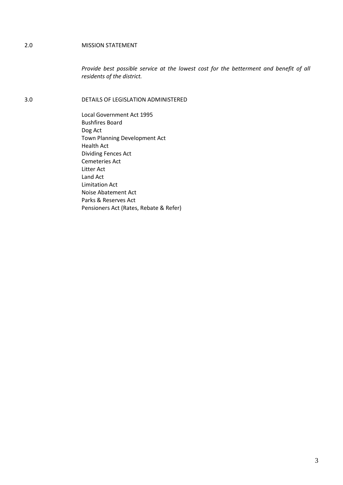#### 2.0 MISSION STATEMENT

*Provide best possible service at the lowest cost for the betterment and benefit of all residents of the district.* 

3.0 DETAILS OF LEGISLATION ADMINISTERED

Local Government Act 1995 Bushfires Board Dog Act Town Planning Development Act Health Act Dividing Fences Act Cemeteries Act Litter Act Land Act Limitation Act Noise Abatement Act Parks & Reserves Act Pensioners Act (Rates, Rebate & Refer)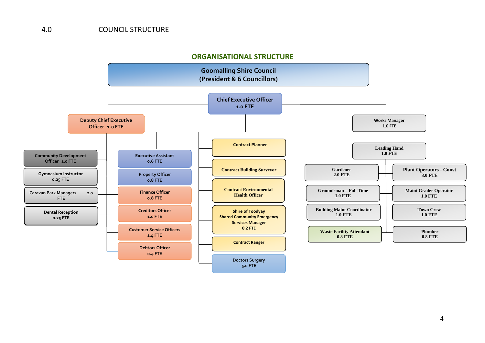# **ORGANISATIONAL STRUCTURE**

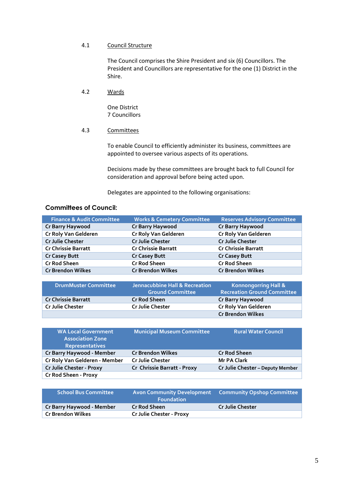#### 4.1 Council Structure

The Council comprises the Shire President and six (6) Councillors. The President and Councillors are representative for the one (1) District in the Shire.

4.2 Wards

One District 7 Councillors

# 4.3 Committees

To enable Council to efficiently administer its business, committees are appointed to oversee various aspects of its operations.

Decisions made by these committees are brought back to full Council for consideration and approval before being acted upon.

Delegates are appointed to the following organisations:

# **Committees of Council:**

| <b>Finance &amp; Audit Committee</b> | <b>Works &amp; Cemetery Committee</b> | <b>Reserves Advisory Committee</b> |
|--------------------------------------|---------------------------------------|------------------------------------|
| Cr Barry Haywood                     | Cr Barry Haywood                      | Cr Barry Haywood                   |
| Cr Roly Van Gelderen                 | Cr Roly Van Gelderen                  | Cr Roly Van Gelderen               |
| Cr Julie Chester                     | Cr Julie Chester                      | Cr Julie Chester                   |
| <b>Cr Chrissie Barratt</b>           | <b>Cr Chrissie Barratt</b>            | <b>Cr Chrissie Barratt</b>         |
| <b>Cr Casey Butt</b>                 | <b>Cr Casey Butt</b>                  | <b>Cr Casey Butt</b>               |
| <b>Cr Rod Sheen</b>                  | <b>Cr Rod Sheen</b>                   | <b>Cr Rod Sheen</b>                |
| <b>Cr Brendon Wilkes</b>             | <b>Cr Brendon Wilkes</b>              | <b>Cr Brendon Wilkes</b>           |

| <b>DrumMuster Committee</b> | Jennacubbine Hall & Recreation<br><b>Ground Committee</b> | <b>Konnongorring Hall &amp;</b><br><b>Recreation Ground Committee</b> |
|-----------------------------|-----------------------------------------------------------|-----------------------------------------------------------------------|
| <b>Cr Chrissie Barratt</b>  | <b>Cr Rod Sheen</b>                                       | Cr Barry Haywood                                                      |
| <b>Cr Julie Chester</b>     | <b>Cr Julie Chester</b>                                   | Cr Roly Van Gelderen                                                  |
|                             |                                                           | <b>Cr Brendon Wilkes</b>                                              |

| <b>WA Local Government</b><br><b>Association Zone</b><br><b>Representatives</b> | <b>Municipal Museum Committee</b> | <b>Rural Water Council</b>       |
|---------------------------------------------------------------------------------|-----------------------------------|----------------------------------|
| Cr Barry Haywood - Member                                                       | <b>Cr Brendon Wilkes</b>          | <b>Cr Rod Sheen</b>              |
| Cr Roly Van Gelderen - Member                                                   | <b>Cr Julie Chester</b>           | Mr PA Clark                      |
| Cr Julie Chester - Proxy                                                        | Cr Chrissie Barratt - Proxy       | Cr Julie Chester - Deputy Member |
| Cr Rod Sheen - Proxy                                                            |                                   |                                  |

| <b>School Bus Committee</b> | <b>Foundation</b>        | Avon Community Development  Community Opshop Committee |
|-----------------------------|--------------------------|--------------------------------------------------------|
| Cr Barry Haywood - Member   | <b>Cr Rod Sheen</b>      | <b>Cr Julie Chester</b>                                |
| Cr Brendon Wilkes           | Cr Julie Chester - Proxy |                                                        |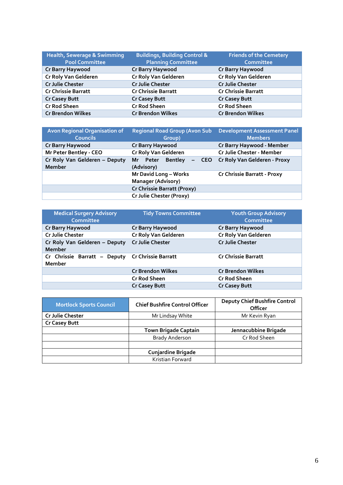| Health, Sewerage & Swimming<br><b>Pool Committee</b> | <b>Buildings, Building Control &amp;</b><br><b>Planning Committee</b> | <b>Friends of the Cemetery</b><br><b>Committee</b> |
|------------------------------------------------------|-----------------------------------------------------------------------|----------------------------------------------------|
| Cr Barry Haywood                                     | Cr Barry Haywood                                                      | <b>Cr Barry Haywood</b>                            |
| Cr Roly Van Gelderen                                 | Cr Roly Van Gelderen                                                  | Cr Roly Van Gelderen                               |
| <b>Cr Julie Chester</b>                              | <b>Cr Julie Chester</b>                                               | <b>Cr Julie Chester</b>                            |
| <b>Cr Chrissie Barratt</b>                           | <b>Cr Chrissie Barratt</b>                                            | <b>Cr Chrissie Barratt</b>                         |
| <b>Cr Casey Butt</b>                                 | <b>Cr Casey Butt</b>                                                  | <b>Cr Casey Butt</b>                               |
| <b>Cr Rod Sheen</b>                                  | <b>Cr Rod Sheen</b>                                                   | <b>Cr Rod Sheen</b>                                |
| <b>Cr Brendon Wilkes</b>                             | <b>Cr Brendon Wilkes</b>                                              | <b>Cr Brendon Wilkes</b>                           |

| <b>Avon Regional Organisation of</b><br><b>Councils</b> | <b>Regional Road Group (Avon Sub</b><br>Group)     | <b>Development Assessment Panel</b><br><b>Members</b> |
|---------------------------------------------------------|----------------------------------------------------|-------------------------------------------------------|
| <b>Cr Barry Haywood</b>                                 | <b>Cr Barry Haywood</b>                            | Cr Barry Haywood - Member                             |
| Mr Peter Bentley - CEO                                  | Cr Roly Van Gelderen                               | Cr Julie Chester - Member                             |
| Cr Roly Van Gelderen - Deputy<br><b>Member</b>          | Mr Peter Bentley<br>(Advisory)                     | - CEO Cr Roly Van Gelderen - Proxy                    |
|                                                         | Mr David Long - Works<br><b>Manager (Advisory)</b> | Cr Chrissie Barratt - Proxy                           |
|                                                         | Cr Chrissie Barratt (Proxy)                        |                                                       |
|                                                         | Cr Julie Chester (Proxy)                           |                                                       |

| <b>Medical Surgery Advisory</b><br><b>Committee</b>        | <b>Tidy Towns Committee</b> | <b>Youth Group Advisory</b><br>Committee |
|------------------------------------------------------------|-----------------------------|------------------------------------------|
| Cr Barry Haywood                                           | Cr Barry Haywood            | Cr Barry Haywood                         |
| <b>Cr Julie Chester</b>                                    | Cr Roly Van Gelderen        | Cr Roly Van Gelderen                     |
| Cr Roly Van Gelderen - Deputy<br><b>Member</b>             | <b>Cr Julie Chester</b>     | <b>Cr Julie Chester</b>                  |
| Cr Chrissie Barratt - Deputy Cr Chrissie Barratt<br>Member |                             | <b>Cr Chrissie Barratt</b>               |
|                                                            | <b>Cr Brendon Wilkes</b>    | <b>Cr Brendon Wilkes</b>                 |
|                                                            | <b>Cr Rod Sheen</b>         | <b>Cr Rod Sheen</b>                      |
|                                                            | <b>Cr Casey Butt</b>        | <b>Cr Casey Butt</b>                     |

| <b>Mortlock Sports Council</b> | <b>Chief Bushfire Control Officer</b> | <b>Deputy Chief Bushfire Control</b><br>Officer |
|--------------------------------|---------------------------------------|-------------------------------------------------|
| <b>Cr Julie Chester</b>        | Mr Lindsay White                      | Mr Kevin Ryan                                   |
| <b>Cr Casey Butt</b>           |                                       |                                                 |
|                                | <b>Town Brigade Captain</b>           | Jennacubbine Brigade                            |
|                                | <b>Brady Anderson</b>                 | Cr Rod Sheen                                    |
|                                |                                       |                                                 |
|                                | <b>Cunjardine Brigade</b>             |                                                 |
|                                | Kristian Forward                      |                                                 |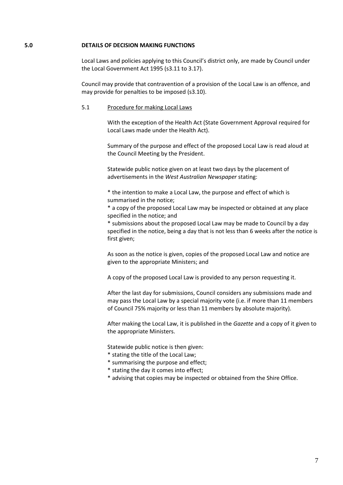#### **5.0 DETAILS OF DECISION MAKING FUNCTIONS**

Local Laws and policies applying to this Council's district only, are made by Council under the Local Government Act 1995 (s3.11 to 3.17).

Council may provide that contravention of a provision of the Local Law is an offence, and may provide for penalties to be imposed (s3.10).

## 5.1 Procedure for making Local Laws

With the exception of the Health Act (State Government Approval required for Local Laws made under the Health Act).

Summary of the purpose and effect of the proposed Local Law is read aloud at the Council Meeting by the President.

Statewide public notice given on at least two days by the placement of advertisements in the *West Australian Newspaper* stating:

\* the intention to make a Local Law, the purpose and effect of which is summarised in the notice;

\* a copy of the proposed Local Law may be inspected or obtained at any place specified in the notice; and

\* submissions about the proposed Local Law may be made to Council by a day specified in the notice, being a day that is not less than 6 weeks after the notice is first given;

As soon as the notice is given, copies of the proposed Local Law and notice are given to the appropriate Ministers; and

A copy of the proposed Local Law is provided to any person requesting it.

After the last day for submissions, Council considers any submissions made and may pass the Local Law by a special majority vote (i.e. if more than 11 members of Council 75% majority or less than 11 members by absolute majority).

After making the Local Law, it is published in the *Gazette* and a copy of it given to the appropriate Ministers.

Statewide public notice is then given:

- \* stating the title of the Local Law;
- \* summarising the purpose and effect;
- \* stating the day it comes into effect;
- \* advising that copies may be inspected or obtained from the Shire Office.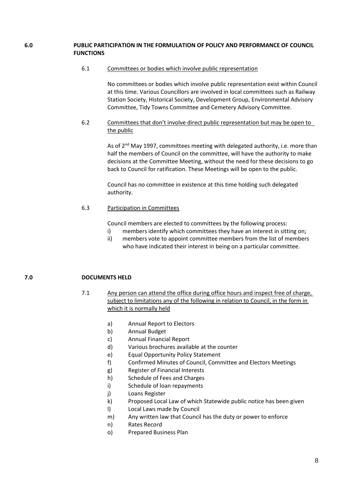## **6.0 PUBLIC PARTICIPATION IN THE FORMULATION OF POLICY AND PERFORMANCE OF COUNCIL FUNCTIONS**

## 6.1 Committees or bodies which involve public representation

No committees or bodies which involve public representation exist within Council at this time. Various Councillors are involved in local committees such as Railway Station Society, Historical Society, Development Group, Environmental Advisory Committee, Tidy Towns Committee and Cemetery Advisory Committee.

6.2 Committees that don't involve direct public representation but may be open to the public

> As of 2<sup>nd</sup> May 1997, committees meeting with delegated authority, i.e. more than half the members of Council on the committee, will have the authority to make decisions at the Committee Meeting, without the need for these decisions to go back to Council for ratification. These Meetings will be open to the public.

Council has no committee in existence at this time holding such delegated authority.

# 6.3 Participation in Committees

Council members are elected to committees by the following process:

- i) members identify which committees they have an interest in sitting on;
- ii) members vote to appoint committee members from the list of members who have indicated their interest in being on a particular committee.

# **7.0 DOCUMENTS HELD**

- 7.1 Any person can attend the office during office hours and inspect free of charge, subject to limitations any of the following in relation to Council, in the form in which it is normally held
	- a) Annual Report to Electors
	- b) Annual Budget
	- c) Annual Financial Report
	- d) Various brochures available at the counter
	- e) Equal Opportunity Policy Statement
	- f) Confirmed Minutes of Council, Committee and Electors Meetings
	- g) Register of Financial Interests
	- h) Schedule of Fees and Charges
	- i) Schedule of loan repayments
	- j) Loans Register
	- k) Proposed Local Law of which Statewide public notice has been given
	- l) Local Laws made by Council
	- m) Any written law that Council has the duty or power to enforce
	- n) Rates Record
	- o) Prepared Business Plan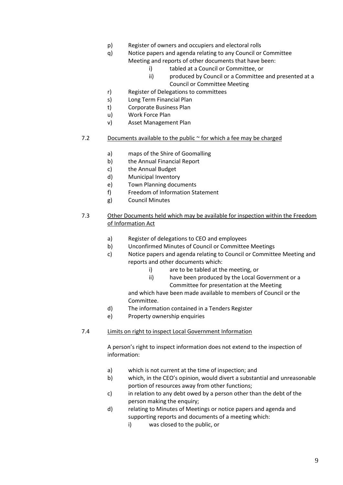- p) Register of owners and occupiers and electoral rolls
- q) Notice papers and agenda relating to any Council or Committee Meeting and reports of other documents that have been:
	- i) tabled at a Council or Committee, or
	- ii) produced by Council or a Committee and presented at a Council or Committee Meeting
- r) Register of Delegations to committees
- s) Long Term Financial Plan
- t) Corporate Business Plan
- u) Work Force Plan
- v) Asset Management Plan
- 7.2 Documents available to the public  $\sim$  for which a fee may be charged
	- a) maps of the Shire of Goomalling
	- b) the Annual Financial Report
	- c) the Annual Budget
	- d) Municipal Inventory
	- e) Town Planning documents
	- f) Freedom of Information Statement
	- g) Council Minutes
- 7.3 Other Documents held which may be available for inspection within the Freedom of Information Act
	- a) Register of delegations to CEO and employees
	- b) Unconfirmed Minutes of Council or Committee Meetings
	- c) Notice papers and agenda relating to Council or Committee Meeting and reports and other documents which:
		- i) are to be tabled at the meeting, or
		- ii) have been produced by the Local Government or a Committee for presentation at the Meeting

and which have been made available to members of Council or the Committee.

- d) The information contained in a Tenders Register
- e) Property ownership enquiries
- 7.4 Limits on right to inspect Local Government Information

A person's right to inspect information does not extend to the inspection of information:

- a) which is not current at the time of inspection; and
- b) which, in the CEO's opinion, would divert a substantial and unreasonable portion of resources away from other functions;
- c) in relation to any debt owed by a person other than the debt of the person making the enquiry;
- d) relating to Minutes of Meetings or notice papers and agenda and supporting reports and documents of a meeting which:
	- i) was closed to the public, or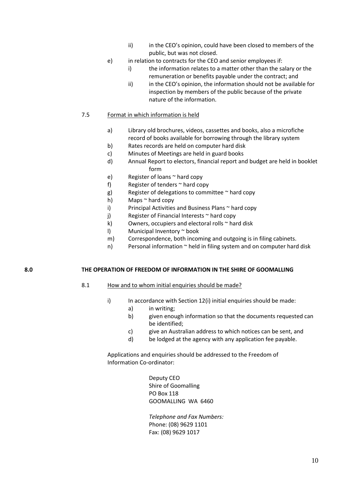- ii) in the CEO's opinion, could have been closed to members of the public, but was not closed.
- e) in relation to contracts for the CEO and senior employees if:
	- i) the information relates to a matter other than the salary or the remuneration or benefits payable under the contract; and
	- ii) in the CEO's opinion, the information should not be available for inspection by members of the public because of the private nature of the information.

## 7.5 Format in which information is held

- a) Library old brochures, videos, cassettes and books, also a microfiche record of books available for borrowing through the library system
- b) Rates records are held on computer hard disk
- c) Minutes of Meetings are held in guard books
- d) Annual Report to electors, financial report and budget are held in booklet form
- e) Register of loans ~ hard copy
- f) Register of tenders  $\sim$  hard copy
- g) Register of delegations to committee  $\sim$  hard copy
- h) Maps ~ hard copy
- i) Principal Activities and Business Plans ~ hard copy
- j) Register of Financial Interests  $\sim$  hard copy
- k) Owners, occupiers and electoral rolls  $\sim$  hard disk
- l) Municipal Inventory ~ book
- m) Correspondence, both incoming and outgoing is in filing cabinets.
- n) Personal information ~ held in filing system and on computer hard disk

## **8.0 THE OPERATION OF FREEDOM OF INFORMATION IN THE SHIRE OF GOOMALLING**

## 8.1 How and to whom initial enquiries should be made?

- i) In accordance with Section 12(i) initial enquiries should be made:
	- a) in writing;
	- b) given enough information so that the documents requested can be identified;
	- c) give an Australian address to which notices can be sent, and
	- d) be lodged at the agency with any application fee payable.

Applications and enquiries should be addressed to the Freedom of Information Co-ordinator:

> Deputy CEO Shire of Goomalling PO Box 118 GOOMALLING WA 6460

*Telephone and Fax Numbers:*  Phone: (08) 9629 1101 Fax: (08) 9629 1017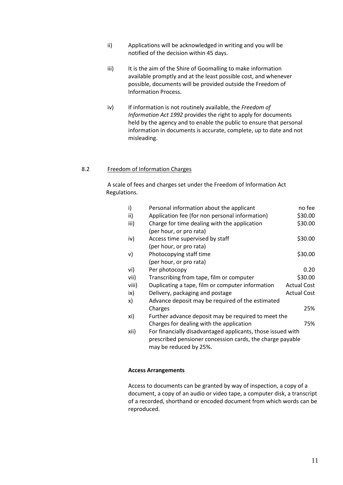- ii) Applications will be acknowledged in writing and you will be notified of the decision within 45 days.
- iii) It is the aim of the Shire of Goomalling to make information available promptly and at the least possible cost, and whenever possible, documents will be provided outside the Freedom of Information Process.
- iv) If information is not routinely available, the *Freedom of Information Act 1992* provides the right to apply for documents held by the agency and to enable the public to ensure that personal information in documents is accurate, complete, up to date and not misleading.

## 8.2 Freedom of Information Charges

A scale of fees and charges set under the Freedom of Information Act Regulations.

| i)    | Personal information about the applicant                    | no fee             |
|-------|-------------------------------------------------------------|--------------------|
| ii)   | Application fee (for non personal information)              | \$30.00            |
| iii)  | Charge for time dealing with the application                | \$30.00            |
|       | (per hour, or pro rata)                                     |                    |
| iv)   | Access time supervised by staff                             | \$30.00            |
|       | (per hour, or pro rata)                                     |                    |
| v)    | Photocopying staff time                                     | \$30.00            |
|       | (per hour, or pro rata)                                     |                    |
| vi)   | Per photocopy                                               | 0.20               |
| vii)  | Transcribing from tape, film or computer                    | \$30.00            |
| viii) | Duplicating a tape, film or computer information            | <b>Actual Cost</b> |
| ix)   | Delivery, packaging and postage                             | <b>Actual Cost</b> |
| x)    | Advance deposit may be required of the estimated            |                    |
|       | Charges                                                     | 25%                |
| xi)   | Further advance deposit may be required to meet the         |                    |
|       | Charges for dealing with the application                    | 75%                |
| xii)  | For financially disadvantaged applicants, those issued with |                    |
|       | prescribed pensioner concession cards, the charge payable   |                    |
|       | may be reduced by 25%.                                      |                    |

#### **Access Arrangements**

Access to documents can be granted by way of inspection, a copy of a document, a copy of an audio or video tape, a computer disk, a transcript of a recorded, shorthand or encoded document from which words can be reproduced.